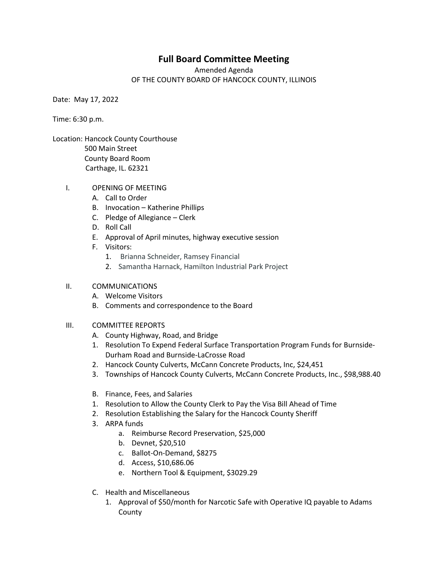# **Full Board Committee Meeting**

Amended Agenda

OF THE COUNTY BOARD OF HANCOCK COUNTY, ILLINOIS

Date: May 17, 2022

Time: 6:30 p.m.

Location: Hancock County Courthouse 500 Main Street County Board Room Carthage, IL. 62321

- I. OPENING OF MEETING
	- A. Call to Order
	- B. Invocation Katherine Phillips
	- C. Pledge of Allegiance Clerk
	- D. Roll Call
	- E. Approval of April minutes, highway executive session
	- F. Visitors:
		- 1. Brianna Schneider, Ramsey Financial
		- 2. Samantha Harnack, Hamilton Industrial Park Project

# II. COMMUNICATIONS

- A. Welcome Visitors
- B. Comments and correspondence to the Board

#### III. COMMITTEE REPORTS

- A. County Highway, Road, and Bridge
- 1. Resolution To Expend Federal Surface Transportation Program Funds for Burnside-Durham Road and Burnside-LaCrosse Road
- 2. Hancock County Culverts, McCann Concrete Products, Inc, \$24,451
- 3. Townships of Hancock County Culverts, McCann Concrete Products, Inc., \$98,988.40
- B. Finance, Fees, and Salaries
- 1. Resolution to Allow the County Clerk to Pay the Visa Bill Ahead of Time
- 2. Resolution Establishing the Salary for the Hancock County Sheriff
- 3. ARPA funds
	- a. Reimburse Record Preservation, \$25,000
	- b. Devnet, \$20,510
	- c. Ballot-On-Demand, \$8275
	- d. Access, \$10,686.06
	- e. Northern Tool & Equipment, \$3029.29
- C. Health and Miscellaneous
	- 1. Approval of \$50/month for Narcotic Safe with Operative IQ payable to Adams County